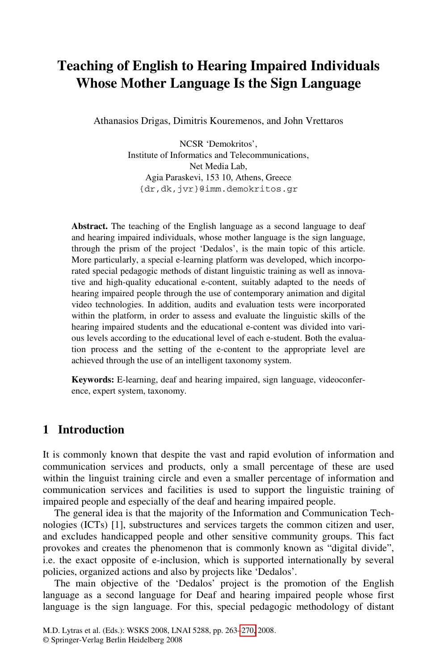# **Teaching of English to Hearing Impaired Individuals Whose Mother Language Is the Sign Language**

Athanasios Drigas, Dimitris Kouremenos, and John Vrettaros

NCSR 'Demokritos', Institute of Informatics and Telecommunications, Net Media Lab, Agia Paraskevi, 153 10, Athens, Greece {dr,dk,jvr}@imm.demokritos.gr

Abstract. The teaching of the English language as a second language to deaf and hearing impaired individuals, whose mother language is the sign language, through the prism of the project 'Dedalos', is the main topic of this article. More particularly, a special e-learning platform was developed, which incorporated special pedagogic methods of distant linguistic training as well as innovative and high-quality educational e-content, suitably adapted to the needs of hearing impaired people through the use of contemporary animation and digital video technologies. In addition, audits and evaluation tests were incorporated within the platform, in order to assess and evaluate the linguistic skills of the hearing impaired students and the educational e-content was divided into various levels according to the educational level of each e-student. Both the evaluation process and the setting of the e-content to the appropriate level are achieved through the use of an intelligent taxonomy system.

**Keywords:** E-learning, deaf and hearing impaired, sign language, videoconference, expert system, taxonomy.

### **1 Introduction**

It is commonly known that despite the vast and rapid evolution of information and communication services and products, only a small percentage of these are used within the linguist training circle and even a smaller percentage of information and communication services and facilities is used to support the linguistic training of impaired people and especially of the deaf and hearing impaired people.

The general idea is that the majority of the Information and Communication Technologies (ICTs) [1], substructures and services targets the common citizen and user, and excludes handicapped [peop](#page-7-0)le and other sensitive community groups. This fact provokes and creates the phenomenon that is commonly known as "digital divide", i.e. the exact opposite of e-inclusion, which is supported internationally by several policies, organized actions and also by projects like 'Dedalos'.

The main objective of the 'Dedalos' project is the promotion of the English language as a second language for Deaf and hearing impaired people whose first language is the sign language. For this, special pedagogic methodology of distant

M.D. Lytras et al. (Eds.): WSKS 2008, LNAI 5288, pp. 263–270, 2008.

<sup>©</sup> Springer-Verlag Berlin Heidelberg 2008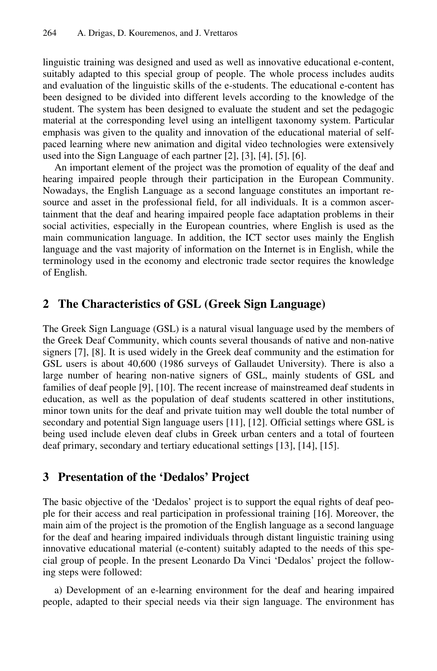linguistic training was designed and used as well as innovative educational e-content, suitably adapted to this special group of people. The whole process includes audits and evaluation of the linguistic skills of the e-students. The educational e-content has been designed to be divided into different levels according to the knowledge of the student. The system has been designed to evaluate the student and set the pedagogic material at the corresponding level using an intelligent taxonomy system. Particular emphasis was given to the quality and innovation of the educational material of selfpaced learning where new animation and digital video technologies were extensively used into the Sign Language of each partner [2], [3], [4], [5], [6].

An important element of the project was the promotion of equality of the deaf and hearing impaired people through their participation in the European Community. Nowadays, the English Language as a second language constitutes an important resource and asset in the professional field, for all individuals. It is a common ascertainment that the deaf and hearing impaired people face adaptation problems in their social activities, especially in the European countries, where English is used as the main communication language. In addition, the ICT sector uses mainly the English language and the vast majority of information on the Internet is in English, while the terminology used in the economy and electronic trade sector requires the knowledge of English.

## **2 The Characteristics of GSL (Greek Sign Language)**

The Greek Sign Language (GSL) is a natural visual language used by the members of the Greek Deaf Community, which counts several thousands of native and non-native signers [7], [8]. It is used widely in the Greek deaf community and the estimation for GSL users is about 40,600 (1986 surveys of Gallaudet University). There is also a large number of hearing non-native signers of GSL, mainly students of GSL and families of deaf people [9], [10]. The recent increase of mainstreamed deaf students in education, as well as the population of deaf students scattered in other institutions, minor town units for the deaf and private tuition may well double the total number of secondary and potential Sign language users [11], [12]. Official settings where GSL is being used include eleven deaf clubs in Greek urban centers and a total of fourteen deaf primary, secondary and tertiary educational settings [13], [14], [15].

# **3 Presentation of the 'Dedalos' Project**

The basic objective of the 'Dedalos' project is to support the equal rights of deaf people for their access and real participation in professional training [16]. Moreover, the main aim of the project is the promotion of the English language as a second language for the deaf and hearing impaired individuals through distant linguistic training using innovative educational material (e-content) suitably adapted to the needs of this special group of people. In the present Leonardo Da Vinci 'Dedalos' project the following steps were followed:

a) Development of an e-learning environment for the deaf and hearing impaired people, adapted to their special needs via their sign language. The environment has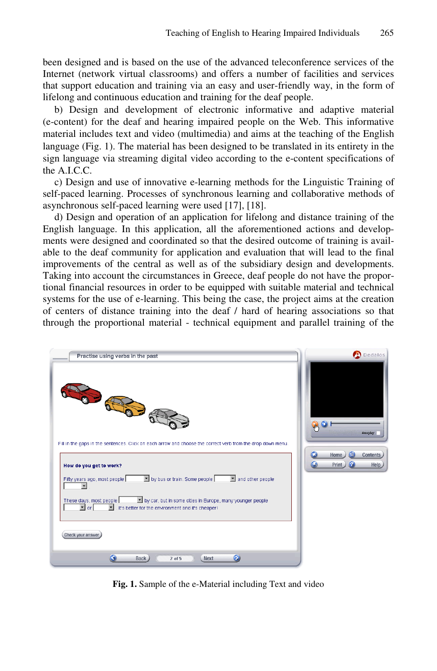been designed and is based on the use of the advanced teleconference services of the Internet (network virtual classrooms) and offers a number of facilities and services that support education and training via an easy and user-friendly way, in the form of lifelong and continuous education and training for the deaf people.

b) Design and development of electronic informative and adaptive material (e-content) for the deaf and hearing impaired people on the Web. This informative material includes text and video (multimedia) and aims at the teaching of the English language (Fig. 1). The material has been designed to be translated in its entirety in the sign language via streaming digital video according to the e-content specifications of the A.I.C.C.

c) Design and use of innovative e-learning methods for the Linguistic Training of self-paced learning. Processes of synchronous learning and collaborative methods of asynchronous self-paced learning were used [17], [18].

d) Design and operation of an application for lifelong and distance training of the English language. In this application, all the aforementioned actions and developments were designed and coordinated so that the desired outcome of training is available to the deaf community for application and evaluation that will lead to the final improvements of the central as well as of the subsidiary design and developments. Taking into account the circumstances in Greece, deaf people do not have the proportional financial resources in order to be equipped with suitable material and technical systems for the use of e-learning. This being the case, the project aims at the creation of centers of distance training into the deaf / hard of hearing associations so that through the proportional material - technical equipment and parallel training of the



**Fig. 1.** Sample of the e-Material including Text and video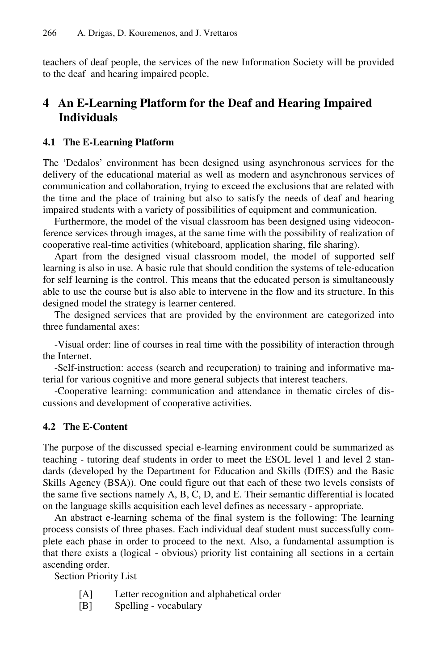teachers of deaf people, the services of the new Information Society will be provided to the deaf and hearing impaired people.

## **4 An E-Learning Platform for the Deaf and Hearing Impaired Individuals**

#### **4.1 The E-Learning Platform**

The 'Dedalos' environment has been designed using asynchronous services for the delivery of the educational material as well as modern and asynchronous services of communication and collaboration, trying to exceed the exclusions that are related with the time and the place of training but also to satisfy the needs of deaf and hearing impaired students with a variety of possibilities of equipment and communication.

Furthermore, the model of the visual classroom has been designed using videoconference services through images, at the same time with the possibility of realization of cooperative real-time activities (whiteboard, application sharing, file sharing).

Apart from the designed visual classroom model, the model of supported self learning is also in use. A basic rule that should condition the systems of tele-education for self learning is the control. This means that the educated person is simultaneously able to use the course but is also able to intervene in the flow and its structure. In this designed model the strategy is learner centered.

The designed services that are provided by the environment are categorized into three fundamental axes:

-Visual order: line of courses in real time with the possibility of interaction through the Internet.

-Self-instruction: access (search and recuperation) to training and informative material for various cognitive and more general subjects that interest teachers.

-Cooperative learning: communication and attendance in thematic circles of discussions and development of cooperative activities.

#### **4.2 The E-Content**

The purpose of the discussed special e-learning environment could be summarized as teaching - tutoring deaf students in order to meet the ESOL level 1 and level 2 standards (developed by the Department for Education and Skills (DfES) and the Basic Skills Agency (BSA)). One could figure out that each of these two levels consists of the same five sections namely A, B, C, D, and E. Their semantic differential is located on the language skills acquisition each level defines as necessary - appropriate.

An abstract e-learning schema of the final system is the following: The learning process consists of three phases. Each individual deaf student must successfully complete each phase in order to proceed to the next. Also, a fundamental assumption is that there exists a (logical - obvious) priority list containing all sections in a certain ascending order.

Section Priority List

- [A] Letter recognition and alphabetical order
- [B] Spelling vocabulary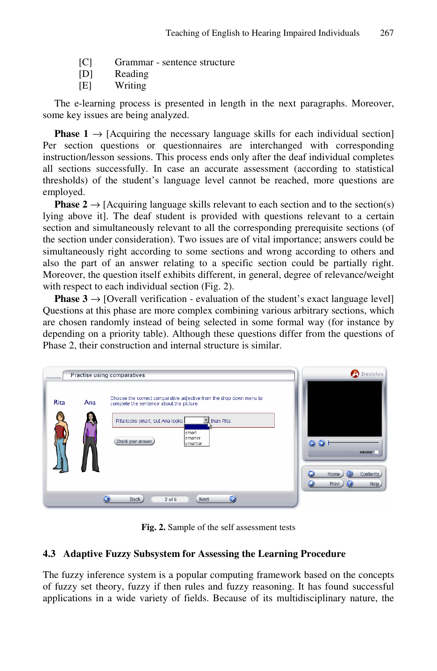| $\lceil C \rceil$ | Grammar - sentence structure |  |
|-------------------|------------------------------|--|
|-------------------|------------------------------|--|

- [D] Reading
- [E] Writing

The e-learning process is presented in length in the next paragraphs. Moreover, some key issues are being analyzed.

**Phase 1**  $\rightarrow$  [Acquiring the necessary language skills for each individual section] Per section questions or questionnaires are interchanged with corresponding instruction/lesson sessions. This process ends only after the deaf individual completes all sections successfully. In case an accurate assessment (according to statistical thresholds) of the student's language level cannot be reached, more questions are employed.

**Phase 2**  $\rightarrow$  [Acquiring language skills relevant to each section and to the section(s) lying above it]. The deaf student is provided with questions relevant to a certain section and simultaneously relevant to all the corresponding prerequisite sections (of the section under consideration). Two issues are of vital importance; answers could be simultaneously right according to some sections and wrong according to others and also the part of an answer relating to a specific section could be partially right. Moreover, the question itself exhibits different, in general, degree of relevance/weight with respect to each individual section (Fig. 2).

**Phase 3**  $\rightarrow$  [Overall verification - evaluation of the student's exact language level] Questions at this phase are more complex combining various arbitrary sections, which are chosen randomly instead of being selected in some formal way (for instance by depending on a priority table). Although these questions differ from the questions of Phase 2, their construction and internal structure is similar.



**Fig. 2.** Sample of the self assessment tests

#### **4.3 Adaptive Fuzzy Subsystem for Assessing the Learning Procedure**

The fuzzy inference system is a popular computing framework based on the concepts of fuzzy set theory, fuzzy if then rules and fuzzy reasoning. It has found successful applications in a wide variety of fields. Because of its multidisciplinary nature, the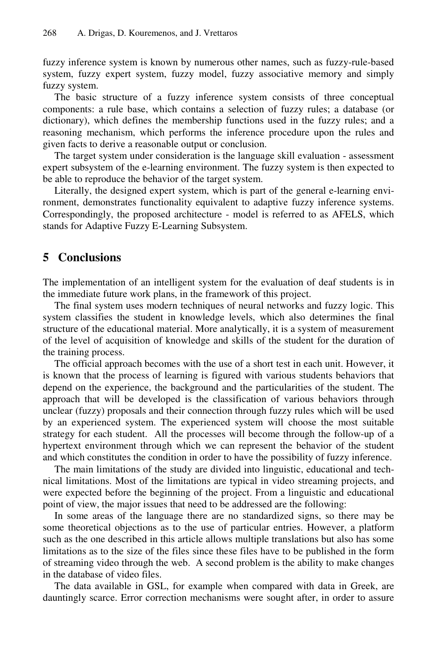fuzzy inference system is known by numerous other names, such as fuzzy-rule-based system, fuzzy expert system, fuzzy model, fuzzy associative memory and simply fuzzy system.

The basic structure of a fuzzy inference system consists of three conceptual components: a rule base, which contains a selection of fuzzy rules; a database (or dictionary), which defines the membership functions used in the fuzzy rules; and a reasoning mechanism, which performs the inference procedure upon the rules and given facts to derive a reasonable output or conclusion.

The target system under consideration is the language skill evaluation - assessment expert subsystem of the e-learning environment. The fuzzy system is then expected to be able to reproduce the behavior of the target system.

Literally, the designed expert system, which is part of the general e-learning environment, demonstrates functionality equivalent to adaptive fuzzy inference systems. Correspondingly, the proposed architecture - model is referred to as AFELS, which stands for Adaptive Fuzzy E-Learning Subsystem.

### **5 Conclusions**

The implementation of an intelligent system for the evaluation of deaf students is in the immediate future work plans, in the framework of this project.

The final system uses modern techniques of neural networks and fuzzy logic. This system classifies the student in knowledge levels, which also determines the final structure of the educational material. More analytically, it is a system of measurement of the level of acquisition of knowledge and skills of the student for the duration of the training process.

The official approach becomes with the use of a short test in each unit. However, it is known that the process of learning is figured with various students behaviors that depend on the experience, the background and the particularities of the student. The approach that will be developed is the classification of various behaviors through unclear (fuzzy) proposals and their connection through fuzzy rules which will be used by an experienced system. The experienced system will choose the most suitable strategy for each student. All the processes will become through the follow-up of a hypertext environment through which we can represent the behavior of the student and which constitutes the condition in order to have the possibility of fuzzy inference.

The main limitations of the study are divided into linguistic, educational and technical limitations. Most of the limitations are typical in video streaming projects, and were expected before the beginning of the project. From a linguistic and educational point of view, the major issues that need to be addressed are the following:

In some areas of the language there are no standardized signs, so there may be some theoretical objections as to the use of particular entries. However, a platform such as the one described in this article allows multiple translations but also has some limitations as to the size of the files since these files have to be published in the form of streaming video through the web. A second problem is the ability to make changes in the database of video files.

The data available in GSL, for example when compared with data in Greek, are dauntingly scarce. Error correction mechanisms were sought after, in order to assure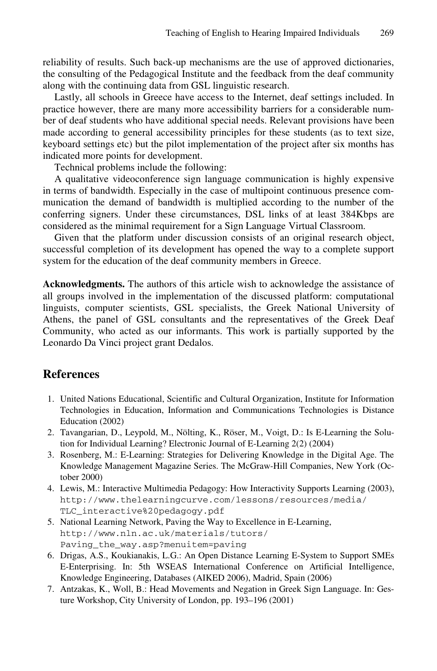reliability of results. Such back-up mechanisms are the use of approved dictionaries, the consulting of the Pedagogical Institute and the feedback from the deaf community along with the continuing data from GSL linguistic research.

Lastly, all schools in Greece have access to the Internet, deaf settings included. In practice however, there are many more accessibility barriers for a considerable number of deaf students who have additional special needs. Relevant provisions have been made according to general accessibility principles for these students (as to text size, keyboard settings etc) but the pilot implementation of the project after six months has indicated more points for development.

Technical problems include the following:

A qualitative videoconference sign language communication is highly expensive in terms of bandwidth. Especially in the case of multipoint continuous presence communication the demand of bandwidth is multiplied according to the number of the conferring signers. Under these circumstances, DSL links of at least 384Kbps are considered as the minimal requirement for a Sign Language Virtual Classroom.

Given that the platform under discussion consists of an original research object, successful completion of its development has opened the way to a complete support system for the education of the deaf community members in Greece.

**Acknowledgments.** The authors of this article wish to acknowledge the assistance of all groups involved in the implementation of the discussed platform: computational linguists, computer scientists, GSL specialists, the Greek National University of Athens, the panel of GSL consultants and the representatives of the Greek Deaf Community, who acted as our informants. This work is partially supported by the Leonardo Da Vinci project grant Dedalos.

#### **References**

- 1. United Nations Educational, Scientific and Cultural Organization, Institute for Information Technologies in Education, Information and Communications Technologies is Distance Education (2002)
- 2. Tavangarian, D., Leypold, M., Nölting, K., Röser, M., Voigt, D.: Is E-Learning the Solution for Individual Learning? Electronic Journal of E-Learning 2(2) (2004)
- 3. Rosenberg, M.: E-Learning: Strategies for Delivering Knowledge in the Digital Age. The Knowledge Management Magazine Series. The McGraw-Hill Companies, New York (October 2000)
- 4. Lewis, M.: Interactive Multimedia Pedagogy: How Interactivity Supports Learning (2003), http://www.thelearningcurve.com/lessons/resources/media/ TLC\_interactive%20pedagogy.pdf
- 5. National Learning Network, Paving the Way to Excellence in E-Learning, http://www.nln.ac.uk/materials/tutors/ Paving\_the\_way.asp?menuitem=paving
- 6. Drigas, A.S., Koukianakis, L.G.: An Open Distance Learning E-System to Support SMEs E-Enterprising. In: 5th WSEAS International Conference on Artificial Intelligence, Knowledge Engineering, Databases (AIKED 2006), Madrid, Spain (2006)
- 7. Antzakas, K., Woll, B.: Head Movements and Negation in Greek Sign Language. In: Gesture Workshop, City University of London, pp. 193–196 (2001)